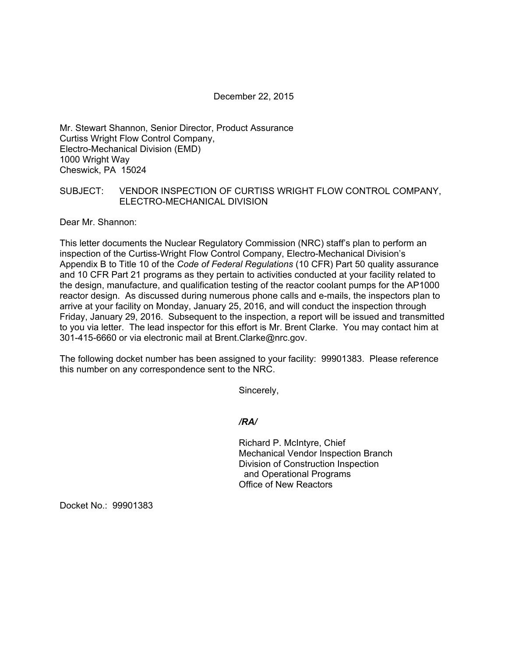December 22, 2015

Mr. Stewart Shannon, Senior Director, Product Assurance Curtiss Wright Flow Control Company, Electro-Mechanical Division (EMD) 1000 Wright Way Cheswick, PA 15024

## SUBJECT: VENDOR INSPECTION OF CURTISS WRIGHT FLOW CONTROL COMPANY, ELECTRO-MECHANICAL DIVISION

Dear Mr. Shannon:

This letter documents the Nuclear Regulatory Commission (NRC) staff's plan to perform an inspection of the Curtiss-Wright Flow Control Company, Electro-Mechanical Division's Appendix B to Title 10 of the *Code of Federal Regulations* (10 CFR) Part 50 quality assurance and 10 CFR Part 21 programs as they pertain to activities conducted at your facility related to the design, manufacture, and qualification testing of the reactor coolant pumps for the AP1000 reactor design. As discussed during numerous phone calls and e-mails, the inspectors plan to arrive at your facility on Monday, January 25, 2016, and will conduct the inspection through Friday, January 29, 2016. Subsequent to the inspection, a report will be issued and transmitted to you via letter. The lead inspector for this effort is Mr. Brent Clarke. You may contact him at 301-415-6660 or via electronic mail at Brent.Clarke@nrc.gov.

The following docket number has been assigned to your facility: 99901383. Please reference this number on any correspondence sent to the NRC.

Sincerely,

*/RA/* 

Richard P. McIntyre, Chief Mechanical Vendor Inspection Branch Division of Construction Inspection and Operational Programs Office of New Reactors

Docket No.: 99901383